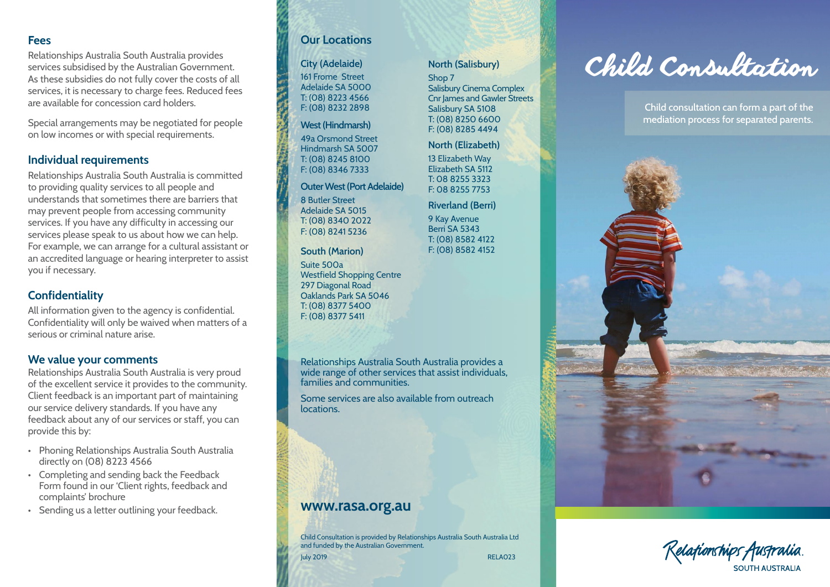#### **Fees**

Relationships Australia South Australia provides services subsidised by the Australian Government. As these subsidies do not fully cover the costs of all services, it is necessary to charge fees. Reduced fees are available for concession card holders.

Special arrangements may be negotiated for people on low incomes or with special requirements.

### **Individual requirements**

Relationships Australia South Australia is committed to providing quality services to all people and understands that sometimes there are barriers that may prevent people from accessing community services. If you have any difficulty in accessing our services please speak to us about how we can help. For example, we can arrange for a cultural assistant or an accredited language or hearing interpreter to assist you if necessary.

# **Confidentiality**

All information given to the agency is confidential. Confidentiality will only be waived when matters of a serious or criminal nature arise.

### **We value your comments**

Relationships Australia South Australia is very proud of the excellent service it provides to the community. Client feedback is an important part of maintaining our service delivery standards. If you have any feedback about any of our services or staff, you can provide this by:

- Phoning Relationships Australia South Australia directly on (08) 8223 4566
- Completing and sending back the Feedback Form found in our 'Client rights, feedback and complaints' brochure
- Sending us a letter outlining your feedback.

# **Our Locations**

### **City (Adelaide)**

161 Frome Street Adelaide SA 5000 T: (08) 8223 4566 F: (08) 8232 2898

#### **West (Hindmarsh)**

49a Orsmond Street Hindmarsh SA 5007 T: (08) 8245 8100 F: (08) 8346 7333

#### **Outer West (Port Adelaide)**

8 Butler Street Adelaide SA 5015 T: (08) 8340 2022 F: (08) 8241 5236

**South (Marion)** Suite 500a Westfield Shopping Centre 297 Diagonal Road Oaklands Park SA 5046 T: (08) 8377 5400 F: (08) 8377 5411

Relationships Australia South Australia provides a wide range of other services that assist individuals, families and communities.

Some services are also available from outreach locations.

# **www.rasa.org.au**

Child Consultation is provided by Relationships Australia South Australia Ltd and funded by the Australian Government.

July 2019 RELA023

#### **North (Salisbury)**

Shop 7 Salisbury Cinema Complex **Cnr James and Gawler Streets** Salisbury SA 5108 T: (08) 8250 6600 F: (08) 8285 4494

#### **North (Elizabeth)**

13 Elizabeth Way Elizabeth SA 5112 T: 08 8255 3323 F: 08 8255 7753

#### **Riverland (Berri)**

9 Kay Avenue Berri SA 5343 T: (08) 8582 4122 F: (08) 8582 4152



Child consultation can form a part of the mediation process for separated parents.



Kelafionships Australia